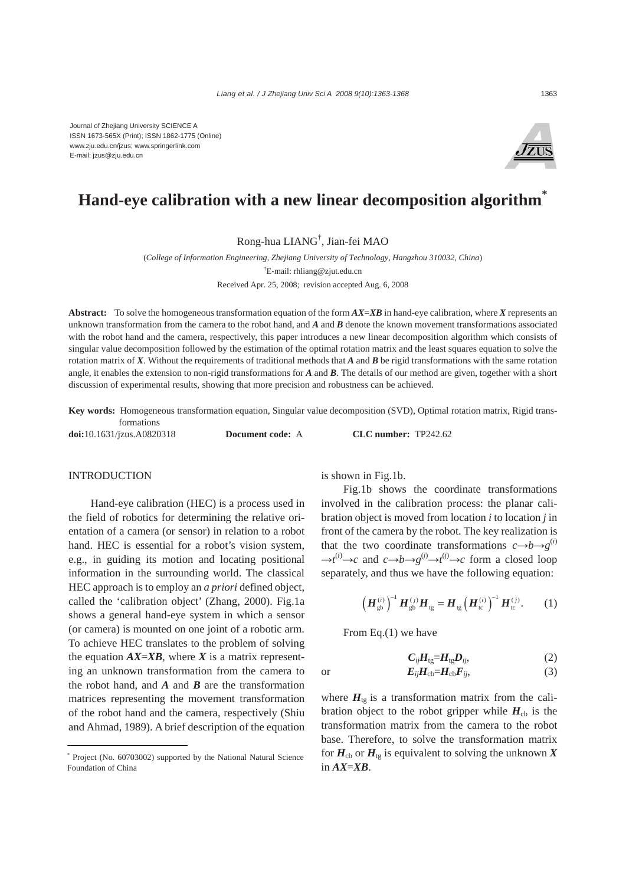

# **Hand-eye calibration with a new linear decomposition algorithm\***

Rong-hua LIANG† , Jian-fei MAO

(*College of Information Engineering, Zhejiang University of Technology, Hangzhou 310032, China*) † E-mail: rhliang@zjut.edu.cn Received Apr. 25, 2008; revision accepted Aug. 6, 2008

**Abstract:** To solve the homogeneous transformation equation of the form *AX*=*XB* in hand-eye calibration, where *X* represents an unknown transformation from the camera to the robot hand, and *A* and *B* denote the known movement transformations associated with the robot hand and the camera, respectively, this paper introduces a new linear decomposition algorithm which consists of singular value decomposition followed by the estimation of the optimal rotation matrix and the least squares equation to solve the rotation matrix of *X*. Without the requirements of traditional methods that *A* and *B* be rigid transformations with the same rotation angle, it enables the extension to non-rigid transformations for *A* and *B*. The details of our method are given, together with a short discussion of experimental results, showing that more precision and robustness can be achieved.

**Key words:** Homogeneous transformation equation, Singular value decomposition (SVD), Optimal rotation matrix, Rigid transformations

**doi:**10.1631/jzus.A0820318 **Document code:** A **CLC number:** TP242.62

## INTRODUCTION

Hand-eye calibration (HEC) is a process used in the field of robotics for determining the relative orientation of a camera (or sensor) in relation to a robot hand. HEC is essential for a robot's vision system, e.g., in guiding its motion and locating positional information in the surrounding world. The classical HEC approach is to employ an *a priori* defined object, called the 'calibration object' (Zhang, 2000). Fig.1a shows a general hand-eye system in which a sensor (or camera) is mounted on one joint of a robotic arm. To achieve HEC translates to the problem of solving the equation  $AX = XB$ , where *X* is a matrix representing an unknown transformation from the camera to the robot hand, and  $\vec{A}$  and  $\vec{B}$  are the transformation matrices representing the movement transformation of the robot hand and the camera, respectively (Shiu and Ahmad, 1989). A brief description of the equation

is shown in Fig.1b.

Fig.1b shows the coordinate transformations involved in the calibration process: the planar calibration object is moved from location *i* to location *j* in front of the camera by the robot. The key realization is that the two coordinate transformations  $c \rightarrow b \rightarrow g^{(i)}$  $\rightarrow t^{(i)} \rightarrow c$  and  $c \rightarrow b \rightarrow g^{(j)} \rightarrow t^{(j)} \rightarrow c$  form a closed loop separately, and thus we have the following equation:

$$
\left(\boldsymbol{H}_{\text{gb}}^{(i)}\right)^{-1}\boldsymbol{H}_{\text{gb}}^{(j)}\boldsymbol{H}_{\text{tg}}=\boldsymbol{H}_{\text{tg}}\left(\boldsymbol{H}_{\text{tc}}^{(i)}\right)^{-1}\boldsymbol{H}_{\text{tc}}^{(j)}.\tag{1}
$$

From Eq.(1) we have

$$
C_{ij}H_{tg}=H_{tg}D_{ij},\qquad \qquad (2)
$$

or  $E_{ij}H_{cb}=H_{cb}F_{ij}$ , (3)

where  $H_{tg}$  is a transformation matrix from the calibration object to the robot gripper while  $H_{cb}$  is the transformation matrix from the camera to the robot base. Therefore, to solve the transformation matrix for  $H_{cb}$  or  $H_{te}$  is equivalent to solving the unknown X in  $AX = XB$ .

<sup>\*</sup> Project (No. 60703002) supported by the National Natural Science Foundation of China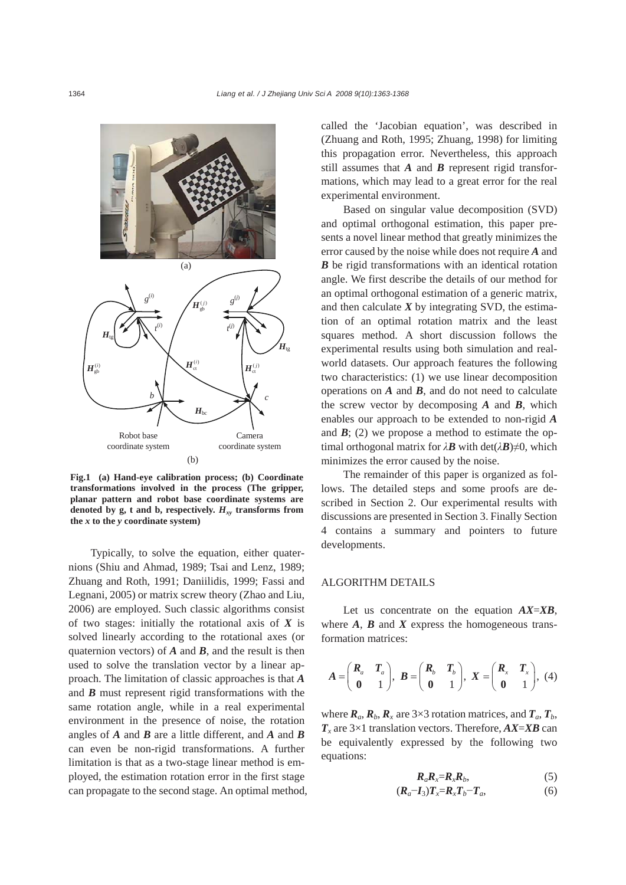

**Fig.1 (a) Hand-eye calibration process; (b) Coordinate transformations involved in the process (The gripper, planar pattern and robot base coordinate systems are** denoted by g, t and b, respectively.  $H_{xy}$  transforms from **the** *x* **to the** *y* **coordinate system)** 

Typically, to solve the equation, either quaternions (Shiu and Ahmad, 1989; Tsai and Lenz, 1989; Zhuang and Roth, 1991; Daniilidis, 1999; Fassi and Legnani, 2005) or matrix screw theory (Zhao and Liu, 2006) are employed. Such classic algorithms consist of two stages: initially the rotational axis of *X* is solved linearly according to the rotational axes (or quaternion vectors) of *A* and *B*, and the result is then used to solve the translation vector by a linear approach. The limitation of classic approaches is that *A* and *B* must represent rigid transformations with the same rotation angle, while in a real experimental environment in the presence of noise, the rotation angles of *A* and *B* are a little different, and *A* and *B* can even be non-rigid transformations. A further limitation is that as a two-stage linear method is employed, the estimation rotation error in the first stage can propagate to the second stage. An optimal method, called the 'Jacobian equation', was described in (Zhuang and Roth, 1995; Zhuang, 1998) for limiting this propagation error. Nevertheless, this approach still assumes that *A* and *B* represent rigid transformations, which may lead to a great error for the real experimental environment.

Based on singular value decomposition (SVD) and optimal orthogonal estimation, this paper presents a novel linear method that greatly minimizes the error caused by the noise while does not require *A* and *B* be rigid transformations with an identical rotation angle. We first describe the details of our method for an optimal orthogonal estimation of a generic matrix, and then calculate  $X$  by integrating SVD, the estimation of an optimal rotation matrix and the least squares method. A short discussion follows the experimental results using both simulation and realworld datasets. Our approach features the following two characteristics: (1) we use linear decomposition operations on *A* and *B*, and do not need to calculate the screw vector by decomposing *A* and *B*, which enables our approach to be extended to non-rigid *A* and  $\mathbf{B}$ ; (2) we propose a method to estimate the optimal orthogonal matrix for  $\lambda$ *B* with det( $\lambda$ *B*)≠0, which minimizes the error caused by the noise.

The remainder of this paper is organized as follows. The detailed steps and some proofs are described in Section 2. Our experimental results with discussions are presented in Section 3. Finally Section 4 contains a summary and pointers to future developments.

## ALGORITHM DETAILS

Let us concentrate on the equation *AX*=*XB*, where  $A$ ,  $B$  and  $X$  express the homogeneous transformation matrices:

$$
A = \begin{pmatrix} R_a & T_a \\ 0 & 1 \end{pmatrix}, \ B = \begin{pmatrix} R_b & T_b \\ 0 & 1 \end{pmatrix}, \ X = \begin{pmatrix} R_x & T_x \\ 0 & 1 \end{pmatrix}, \ (4)
$$

where  $\mathbf{R}_a$ ,  $\mathbf{R}_b$ ,  $\mathbf{R}_x$  are 3×3 rotation matrices, and  $\mathbf{T}_a$ ,  $\mathbf{T}_b$ , *Tx* are 3×1 translation vectors. Therefore, *AX*=*XB* can be equivalently expressed by the following two equations:

$$
R_a R_x = R_x R_b, \qquad (5)
$$

$$
(\boldsymbol{R}_a - \boldsymbol{I}_3) \boldsymbol{T}_x = \boldsymbol{R}_x \boldsymbol{T}_b - \boldsymbol{T}_a,\tag{6}
$$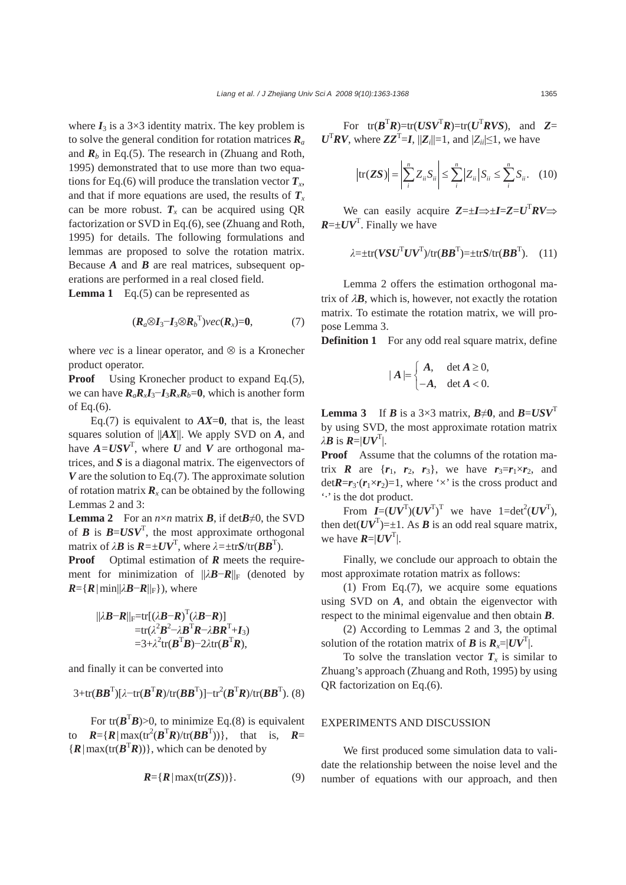where  $I_3$  is a 3×3 identity matrix. The key problem is to solve the general condition for rotation matrices  $\mathbf{R}_a$ and  $\mathbf{R}_b$  in Eq.(5). The research in (Zhuang and Roth, 1995) demonstrated that to use more than two equations for Eq.(6) will produce the translation vector  $T_x$ , and that if more equations are used, the results of  $T<sub>x</sub>$ can be more robust.  $T_x$  can be acquired using QR factorization or SVD in Eq.(6), see (Zhuang and Roth, 1995) for details. The following formulations and lemmas are proposed to solve the rotation matrix. Because *A* and *B* are real matrices, subsequent operations are performed in a real closed field.

**Lemma 1** Eq.(5) can be represented as

$$
(\boldsymbol{R}_a \otimes \boldsymbol{I}_3 - \boldsymbol{I}_3 \otimes \boldsymbol{R}_b^{\mathrm{T}}) \vee ec(\boldsymbol{R}_x) = \boldsymbol{0}, \tag{7}
$$

where *vec* is a linear operator, and  $\otimes$  is a Kronecher product operator.

**Proof** Using Kronecher product to expand Eq.(5), we can have  $R_aR_xI_3-I_3R_xR_b=0$ , which is another form of Eq.(6).

Eq.(7) is equivalent to  $AX=0$ , that is, the least squares solution of ||*AX*||. We apply SVD on *A*, and have  $A = USV<sup>T</sup>$ , where *U* and *V* are orthogonal matrices, and *S* is a diagonal matrix. The eigenvectors of *V* are the solution to Eq.(7). The approximate solution of rotation matrix  $\mathbf{R}_x$  can be obtained by the following Lemmas 2 and 3:

**Lemma 2** For an  $n \times n$  matrix *B*, if det*B* $\neq$ 0, the SVD of *B* is  $B = USV^T$ , the most approximate orthogonal matrix of  $\lambda \mathbf{B}$  is  $\mathbf{R} = \pm \mathbf{U} \mathbf{V}^T$ , where  $\lambda = \pm \text{tr} \mathbf{S} / \text{tr}(\mathbf{B} \mathbf{B}^T)$ .

**Proof** Optimal estimation of *R* meets the requirement for minimization of  $||λ**B**−**R**||<sub>F</sub>$  (denoted by  $R = \{R \mid \min\{|\lambda B - R\|_F\}$ , where

$$
||\lambda \mathbf{B} - \mathbf{R}||_{\mathrm{F}} = \mathrm{tr}[(\lambda \mathbf{B} - \mathbf{R})^{\mathrm{T}}(\lambda \mathbf{B} - \mathbf{R})]
$$
  
=  $\mathrm{tr}(\lambda^2 \mathbf{B}^2 - \lambda \mathbf{B}^{\mathrm{T}} \mathbf{R} - \lambda \mathbf{B} \mathbf{R}^{\mathrm{T}} + \mathbf{I}_3)$   
=  $3 + \lambda^2 \mathrm{tr}(\mathbf{B}^{\mathrm{T}} \mathbf{B}) - 2\lambda \mathrm{tr}(\mathbf{B}^{\mathrm{T}} \mathbf{R}),$ 

and finally it can be converted into

$$
3+\text{tr}(\boldsymbol{B}\boldsymbol{B}^{\mathrm{T}})[\lambda-\text{tr}(\boldsymbol{B}^{\mathrm{T}}\boldsymbol{R})/\text{tr}(\boldsymbol{B}\boldsymbol{B}^{\mathrm{T}})]-\text{tr}^{2}(\boldsymbol{B}^{\mathrm{T}}\boldsymbol{R})/\text{tr}(\boldsymbol{B}\boldsymbol{B}^{\mathrm{T}}). (8)
$$

For tr( $\mathbf{B}^T \mathbf{B}$ )>0, to minimize Eq.(8) is equivalent to  $R = \{R \mid \max(\text{tr}^2(B^T R)/\text{tr}(BB^T))\}\$ , that is,  $R =$  ${R \mid max(tr(B^TR))\},$  which can be denoted by

$$
R = \{R \mid \max(\text{tr}(ZS))\}.
$$
 (9)

For  $tr(B^TR) = tr(USV^TR) = tr(U^TRVS)$ , and  $Z=$  $U^{T}RV$ , where  $ZZ^{T} = I$ ,  $||Z_{i}||=1$ , and  $|Z_{i}|\leq 1$ , we have

$$
\text{tr}(\mathbf{Z}S)| = \left|\sum_{i=1}^{n} Z_{ii} S_{ii}\right| \leq \sum_{i=1}^{n} |Z_{ii}| S_{ii} \leq \sum_{i=1}^{n} S_{ii}. \quad (10)
$$

We can easily acquire  $Z = \pm I \Rightarrow \pm I = Z = U^T R V \Rightarrow$  $R = \pm UV$ <sup>T</sup>. Finally we have

$$
\lambda = \pm \text{tr}(V S U^{\text{T}} U V^{\text{T}}) / \text{tr}(B B^{\text{T}}) = \pm \text{tr} S / \text{tr}(B B^{\text{T}}). \quad (11)
$$

Lemma 2 offers the estimation orthogonal matrix of  $\lambda$ **B**, which is, however, not exactly the rotation matrix. To estimate the rotation matrix, we will propose Lemma 3.

**Definition 1** For any odd real square matrix, define

$$
|A| = \begin{cases} A, & \det A \ge 0, \\ -A, & \det A < 0. \end{cases}
$$

**Lemma 3** If *B* is a 3×3 matrix,  $B\neq 0$ , and  $B=USV<sup>T</sup>$ by using SVD, the most approximate rotation matrix  $\lambda$ *B* is  $R = |UV^T|$ .

**Proof** Assume that the columns of the rotation matrix *R* are  $\{r_1, r_2, r_3\}$ , we have  $r_3 = r_1 \times r_2$ , and det $\mathbf{R} = r_3 \cdot (r_1 \times r_2) = 1$ , where ' $\times$ ' is the cross product and '·' is the dot product.

From  $I=(UV^T)(UV^T)^T$  we have  $1=\det^2(UV^T)$ , then  $\det(UV^T) = \pm 1$ . As *B* is an odd real square matrix, we have  $R = |UV^T|$ .

Finally, we conclude our approach to obtain the most approximate rotation matrix as follows:

(1) From Eq.(7), we acquire some equations using SVD on *A*, and obtain the eigenvector with respect to the minimal eigenvalue and then obtain *B*.

(2) According to Lemmas 2 and 3, the optimal solution of the rotation matrix of *B* is  $R_x = |UV^T|$ .

To solve the translation vector  $T<sub>x</sub>$  is similar to Zhuang's approach (Zhuang and Roth, 1995) by using QR factorization on Eq.(6).

## EXPERIMENTS AND DISCUSSION

We first produced some simulation data to validate the relationship between the noise level and the number of equations with our approach, and then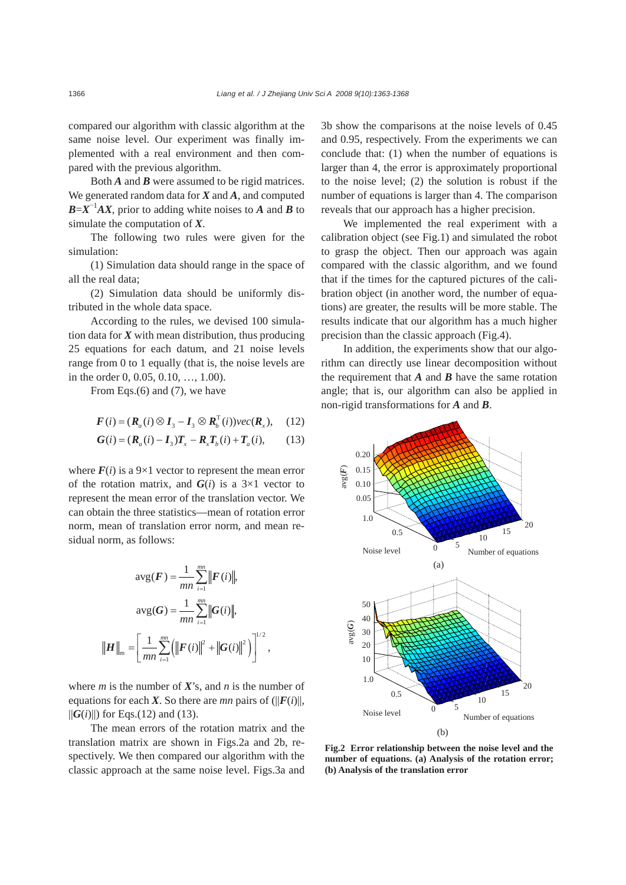compared our algorithm with classic algorithm at the same noise level. Our experiment was finally implemented with a real environment and then compared with the previous algorithm.

Both *A* and *B* were assumed to be rigid matrices. We generated random data for *X* and *A*, and computed  $B = X^{-1}AX$ , prior to adding white noises to *A* and *B* to simulate the computation of *X*.

The following two rules were given for the simulation:

(1) Simulation data should range in the space of all the real data;

(2) Simulation data should be uniformly distributed in the whole data space.

According to the rules, we devised 100 simulation data for *X* with mean distribution, thus producing 25 equations for each datum, and 21 noise levels range from 0 to 1 equally (that is, the noise levels are in the order 0, 0.05, 0.10, …, 1.00).

From Eqs.(6) and (7), we have

$$
\boldsymbol{F}(i) = (\boldsymbol{R}_a(i) \otimes \boldsymbol{I}_3 - \boldsymbol{I}_3 \otimes \boldsymbol{R}_b^{\mathrm{T}}(i)) \boldsymbol{\nu} ec(\boldsymbol{R}_x), \quad (12)
$$

$$
G(i) = (R_a(i) - I_3)T_x - R_xT_b(i) + T_a(i),
$$
 (13)

where  $F(i)$  is a 9×1 vector to represent the mean error of the rotation matrix, and  $G(i)$  is a  $3\times 1$  vector to represent the mean error of the translation vector. We can obtain the three statistics—mean of rotation error norm, mean of translation error norm, and mean residual norm, as follows:

$$
\text{avg}(F) = \frac{1}{mn} \sum_{i=1}^{mn} ||F(i)||,
$$

$$
\text{avg}(G) = \frac{1}{mn} \sum_{i=1}^{mn} ||G(i)||,
$$

$$
||H||_{m} = \left[ \frac{1}{mn} \sum_{i=1}^{mn} (||F(i)||^{2} + ||G(i)||^{2}) \right]^{1/2},
$$

where *m* is the number of *X*'s, and *n* is the number of equations for each *X*. So there are *mn* pairs of  $(||F(i)||$ ,  $||G(i)||$  for Eqs.(12) and (13).

The mean errors of the rotation matrix and the translation matrix are shown in Figs.2a and 2b, respectively. We then compared our algorithm with the classic approach at the same noise level. Figs.3a and 3b show the comparisons at the noise levels of 0.45 and 0.95, respectively. From the experiments we can conclude that: (1) when the number of equations is larger than 4, the error is approximately proportional to the noise level; (2) the solution is robust if the number of equations is larger than 4. The comparison reveals that our approach has a higher precision.

We implemented the real experiment with a calibration object (see Fig.1) and simulated the robot to grasp the object. Then our approach was again compared with the classic algorithm, and we found that if the times for the captured pictures of the calibration object (in another word, the number of equations) are greater, the results will be more stable. The results indicate that our algorithm has a much higher precision than the classic approach (Fig.4).

In addition, the experiments show that our algorithm can directly use linear decomposition without the requirement that  $A$  and  $B$  have the same rotation angle; that is, our algorithm can also be applied in non-rigid transformations for *A* and *B*.



**Fig.2 Error relationship between the noise level and the number of equations. (a) Analysis of the rotation error; (b) Analysis of the translation error**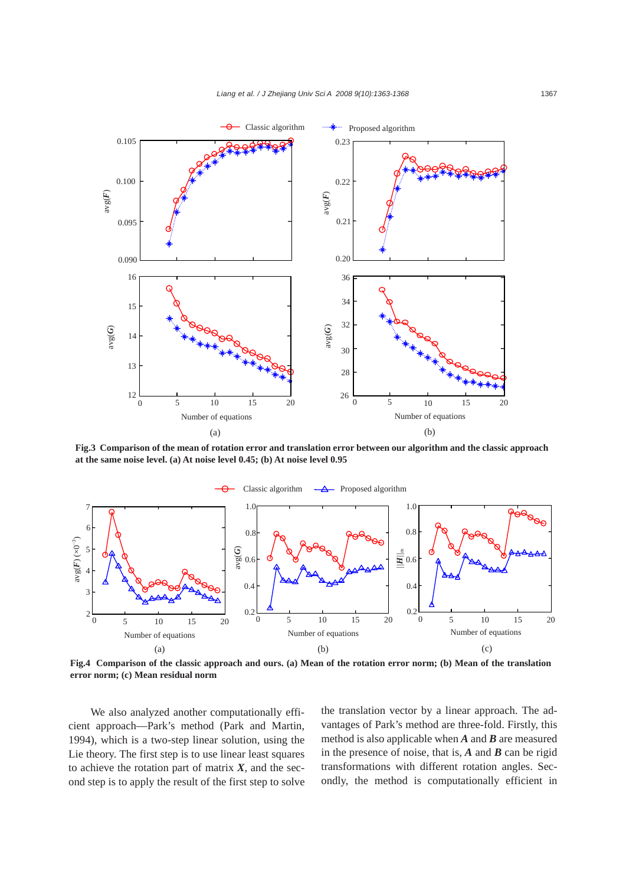

**Fig.3 Comparison of the mean of rotation error and translation error between our algorithm and the classic approach at the same noise level. (a) At noise level 0.45; (b) At noise level 0.95** 



**Fig.4 Comparison of the classic approach and ours. (a) Mean of the rotation error norm; (b) Mean of the translation** 

We also analyzed another computationally efficient approach—Park's method (Park and Martin, 1994), which is a two-step linear solution, using the Lie theory. The first step is to use linear least squares to achieve the rotation part of matrix  $X$ , and the second step is to apply the result of the first step to solve the translation vector by a linear approach. The advantages of Park's method are three-fold. Firstly, this method is also applicable when *A* and *B* are measured in the presence of noise, that is, *A* and *B* can be rigid transformations with different rotation angles. Secondly, the method is computationally efficient in